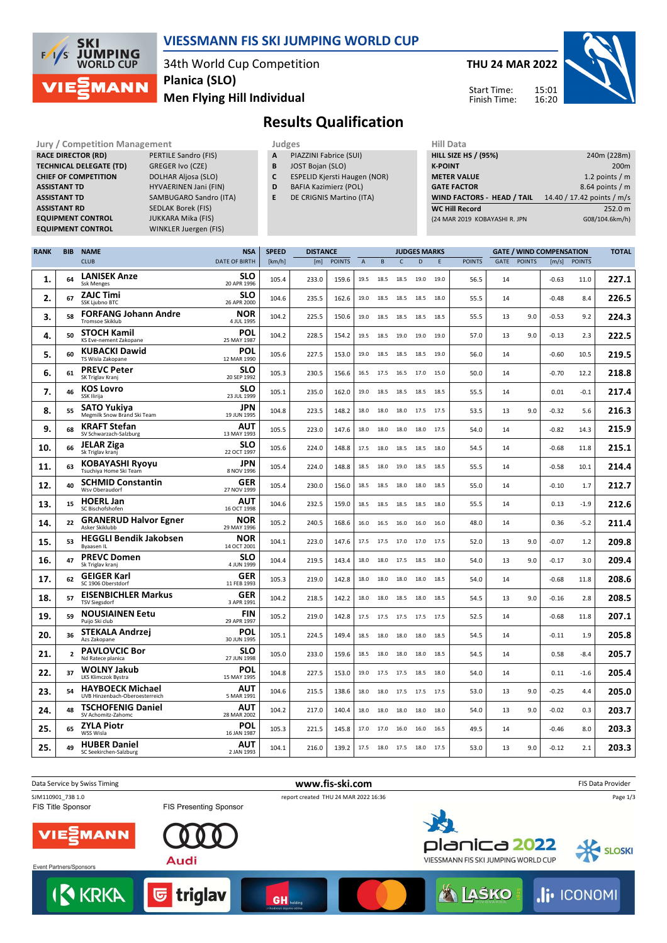

### **VIESSMANN FIS SKI JUMPING WORLD CUP**

34th World Cup Competition **Men Flying Hill Individual Planica (SLO)**

**THU 24 MAR 2022** 15:01 Start Time:

Finish Time:

16:20



# **Results Qualification**

**Jury / Competition Management development development of the Judges of American Hill Data RACE DIRECTOR (RD)** PERTILE Sandro (FIS) **TECHNICAL DELEGATE (TD)** GREGER Ivo (CZE) **CHIEF OF COMPETITION** DOLHAR Aljosa (SLO) **ASSISTANT TD** HYVAERINEN Jani (FIN) **ASSISTANT TD** SAMBUGARO Sandro (ITA) **ASSISTANT RD** SEDLAK Borek (FIS) **EQUIPMENT CONTROL** JUKKARA Mika (FIS) **EQUIPMENT CONTROL** WINKLER Juergen (FIS)

- **A** PIAZZINI Fabrice (SUI)
- **B** JOST Bojan (SLO)
- **C** ESPELID Kjersti Haugen (NOR)
- **D** BAFIA Kazimierz (POL)
- **E** DE CRIGNIS Martino (ITA)

| 11111 <i>Data</i>             |                            |
|-------------------------------|----------------------------|
| <b>HILL SIZE HS / (95%)</b>   | 240m (228m)                |
| <b>K-POINT</b>                | 200 <sub>m</sub>           |
| <b>METER VALUE</b>            | 1.2 points $/m$            |
| <b>GATE FACTOR</b>            | 8.64 points / m            |
| WIND FACTORS - HEAD / TAIL    | 14.40 / 17.42 points / m/s |
| <b>WC Hill Record</b>         | 252.0 m                    |
| (24 MAR 2019 KOBAYASHI R. JPN | G08/104.6km/h)             |
|                               |                            |

| <b>RANK</b> | <b>BIB</b>               | <b>NAME</b>                                               | <b>NSA</b>                | <b>SPEED</b> | <b>DISTANCE</b> |               | <b>JUDGES MARKS</b> |      |                |      |      | <b>GATE / WIND COMPENSATION</b> |    |             |         | <b>TOTAL</b>  |       |
|-------------|--------------------------|-----------------------------------------------------------|---------------------------|--------------|-----------------|---------------|---------------------|------|----------------|------|------|---------------------------------|----|-------------|---------|---------------|-------|
|             |                          | <b>CLUB</b>                                               | <b>DATE OF BIRTH</b>      | [km/h]       | [m]             | <b>POINTS</b> | $\overline{A}$      | B    | $\mathsf{C}$   | D    | E    | <b>POINTS</b>                   |    | GATE POINTS | [m/s]   | <b>POINTS</b> |       |
| 1.          | 64                       | <b>LANISEK Anze</b><br><b>Ssk Menges</b>                  | <b>SLO</b><br>20 APR 1996 | 105.4        | 233.0           | 159.6         | 19.5                | 18.5 | 18.5           | 19.0 | 19.0 | 56.5                            | 14 |             | $-0.63$ | 11.0          | 227.1 |
| 2.          | 67                       | <b>ZAJC Timi</b><br>SSK Ljubno BTC                        | <b>SLO</b><br>26 APR 2000 | 104.6        | 235.5           | 162.6         | 19.0                | 18.5 | 18.5 18.5      |      | 18.0 | 55.5                            | 14 |             | $-0.48$ | 8.4           | 226.5 |
| з.          | 58                       | <b>FORFANG Johann Andre</b><br>Tromsoe Skiklub            | NOR<br>4 JUL 1995         | 104.2        | 225.5           | 150.6         | 19.0                | 18.5 | 18.5           | 18.5 | 18.5 | 55.5                            | 13 | 9.0         | $-0.53$ | 9.2           | 224.3 |
| 4.          | 50                       | <b>STOCH Kamil</b><br>KS Eve-nement Zakopane              | POL<br>25 MAY 1987        | 104.2        | 228.5           | 154.2         | 19.5                | 18.5 | 19.0           | 19.0 | 19.0 | 57.0                            | 13 | 9.0         | $-0.13$ | 2.3           | 222.5 |
| 5.          | 60                       | <b>KUBACKI Dawid</b><br>TS Wisla Zakopane                 | POL<br>12 MAR 1990        | 105.6        | 227.5           | 153.0         | 19.0                | 18.5 | 18.5           | 18.5 | 19.0 | 56.0                            | 14 |             | $-0.60$ | 10.5          | 219.5 |
| 6.          | 61                       | <b>PREVC Peter</b><br>SK Triglav Kranj                    | <b>SLO</b><br>20 SEP 1992 | 105.3        | 230.5           | 156.6         | 16.5                | 17.5 | 16.5           | 17.0 | 15.0 | 50.0                            | 14 |             | $-0.70$ | 12.2          | 218.8 |
| 7.          | 46                       | <b>KOS Lovro</b><br>SSK Ilirija                           | <b>SLO</b><br>23 JUL 1999 | 105.1        | 235.0           | 162.0         | 19.0                | 18.5 | 18.5           | 18.5 | 18.5 | 55.5                            | 14 |             | 0.01    | $-0.1$        | 217.4 |
| 8.          | 55                       | SATO Yukiya<br>Megmilk Snow Brand Ski Team                | <b>JPN</b><br>19 JUN 1995 | 104.8        | 223.5           | 148.2         | 18.0                | 18.0 | 18.0           | 17.5 | 17.5 | 53.5                            | 13 | 9.0         | $-0.32$ | 5.6           | 216.3 |
| 9.          | 68                       | <b>KRAFT Stefan</b><br>SV Schwarzach-Salzburg             | AUT<br>13 MAY 1993        | 105.5        | 223.0           | 147.6         | 18.0                | 18.0 | 18.0           | 18.0 | 17.5 | 54.0                            | 14 |             | $-0.82$ | 14.3          | 215.9 |
| 10.         | 66                       | <b>JELAR Ziga</b><br>Sk Triglav kranj                     | <b>SLO</b><br>22 OCT 1997 | 105.6        | 224.0           | 148.8         | 17.5                | 18.0 | 18.5           | 18.5 | 18.0 | 54.5                            | 14 |             | $-0.68$ | 11.8          | 215.1 |
| 11.         | 63                       | KOBAYASHI Ryoyu<br>Tsuchiya Home Ski Team                 | <b>JPN</b><br>8 NOV 1996  | 105.4        | 224.0           | 148.8         | 18.5                | 18.0 | 19.0           | 18.5 | 18.5 | 55.5                            | 14 |             | $-0.58$ | 10.1          | 214.4 |
| 12.         | 40                       | <b>SCHMID Constantin</b><br>Wsv Oberaudorf                | GER<br>27 NOV 1999        | 105.4        | 230.0           | 156.0         | 18.5                | 18.5 | 18.0           | 18.0 | 18.5 | 55.0                            | 14 |             | $-0.10$ | 1.7           | 212.7 |
| 13.         | 15                       | <b>HOERL Jan</b><br>SC Bischofshofen                      | <b>AUT</b><br>16 OCT 1998 | 104.6        | 232.5           | 159.0         | 18.5                | 18.5 | 18.5           | 18.5 | 18.0 | 55.5                            | 14 |             | 0.13    | $-1.9$        | 212.6 |
| 14.         | 22                       | <b>GRANERUD Halvor Egner</b><br>Asker Skiklubb            | NOR<br>29 MAY 1996        | 105.2        | 240.5           | 168.6         | 16.0                | 16.5 | 16.0           | 16.0 | 16.0 | 48.0                            | 14 |             | 0.36    | $-5.2$        | 211.4 |
| 15.         | 53                       | <b>HEGGLI Bendik Jakobsen</b><br><b>Byaasen IL</b>        | NOR<br>14 OCT 2001        | 104.1        | 223.0           | 147.6         | 17.5                | 17.5 | 17.0           | 17.0 | 17.5 | 52.0                            | 13 | 9.0         | $-0.07$ | 1.2           | 209.8 |
| 16.         | 47                       | <b>PREVC Domen</b><br>Sk Triglav kranj                    | <b>SLO</b><br>4 JUN 1999  | 104.4        | 219.5           | 143.4         | 18.0                | 18.0 | 17.5           | 18.5 | 18.0 | 54.0                            | 13 | 9.0         | $-0.17$ | 3.0           | 209.4 |
| 17.         | 62                       | <b>GEIGER Karl</b><br>SC 1906 Oberstdorf                  | GER<br>11 FEB 1993        | 105.3        | 219.0           | 142.8         | 18.0                | 18.0 | 18.0           | 18.0 | 18.5 | 54.0                            | 14 |             | $-0.68$ | 11.8          | 208.6 |
| 18.         | 57                       | <b>EISENBICHLER Markus</b><br><b>TSV Siegsdorf</b>        | <b>GER</b><br>3 APR 1991  | 104.2        | 218.5           | 142.2         | 18.0                | 18.0 | 18.5           | 18.0 | 18.5 | 54.5                            | 13 | 9.0         | $-0.16$ | 2.8           | 208.5 |
| 19.         | 59                       | <b>NOUSIAINEN Eetu</b><br>Puijo Ski club                  | <b>FIN</b><br>29 APR 1997 | 105.2        | 219.0           | 142.8         | 17.5                | 17.5 | 17.5           | 17.5 | 17.5 | 52.5                            | 14 |             | $-0.68$ | 11.8          | 207.1 |
| 20.         | 36                       | <b>STEKALA Andrzei</b><br>Azs Zakopane                    | <b>POL</b><br>30 JUN 1995 | 105.1        | 224.5           | 149.4         | 18.5                | 18.0 | 18.0           | 18.0 | 18.5 | 54.5                            | 14 |             | $-0.11$ | 1.9           | 205.8 |
| 21.         | $\overline{\phantom{a}}$ | <b>PAVLOVCIC Bor</b><br>Nd Ratece planica                 | <b>SLO</b><br>27 JUN 1998 | 105.0        | 233.0           | 159.6         | 18.5                | 18.0 | 18.0           | 18.0 | 18.5 | 54.5                            | 14 |             | 0.58    | $-8.4$        | 205.7 |
| 22.         | 37                       | <b>WOLNY Jakub</b><br>LKS Klimczok Bystra                 | <b>POL</b><br>15 MAY 1995 | 104.8        | 227.5           | 153.0         | 19.0                |      | 17.5 17.5      | 18.5 | 18.0 | 54.0                            | 14 |             | 0.11    | $-1.6$        | 205.4 |
| 23.         | 54                       | <b>HAYBOECK Michael</b><br>UVB Hinzenbach-Oberoesterreich | AUT<br>5 MAR 1991         | 104.6        | 215.5           | 138.6         | 18.0                | 18.0 | 17.5           | 17.5 | 17.5 | 53.0                            | 13 | 9.0         | $-0.25$ | 4.4           | 205.0 |
| 24.         | 48                       | <b>TSCHOFENIG Daniel</b><br>SV Achomitz-Zahomc            | AUT<br>28 MAR 2002        | 104.2        | 217.0           | 140.4         | 18.0                | 18.0 | 18.0           | 18.0 | 18.0 | 54.0                            | 13 | 9.0         | $-0.02$ | 0.3           | 203.7 |
| 25.         | 65                       | <b>ZYLA Piotr</b><br>WSS Wisla                            | <b>POL</b><br>16 JAN 1987 | 105.3        | 221.5           | 145.8         | 17.0                | 17.0 | 16.0           | 16.0 | 16.5 | 49.5                            | 14 |             | $-0.46$ | 8.0           | 203.3 |
| 25.         | 49                       | <b>HUBER Daniel</b><br>SC Seekirchen-Salzburg             | <b>AUT</b><br>2 JAN 1993  | 104.1        | 216.0           | 139.2         | 17.5                |      | 18.0 17.5 18.0 |      | 17.5 | 53.0                            | 13 | 9.0         | $-0.12$ | 2.1           | 203.3 |

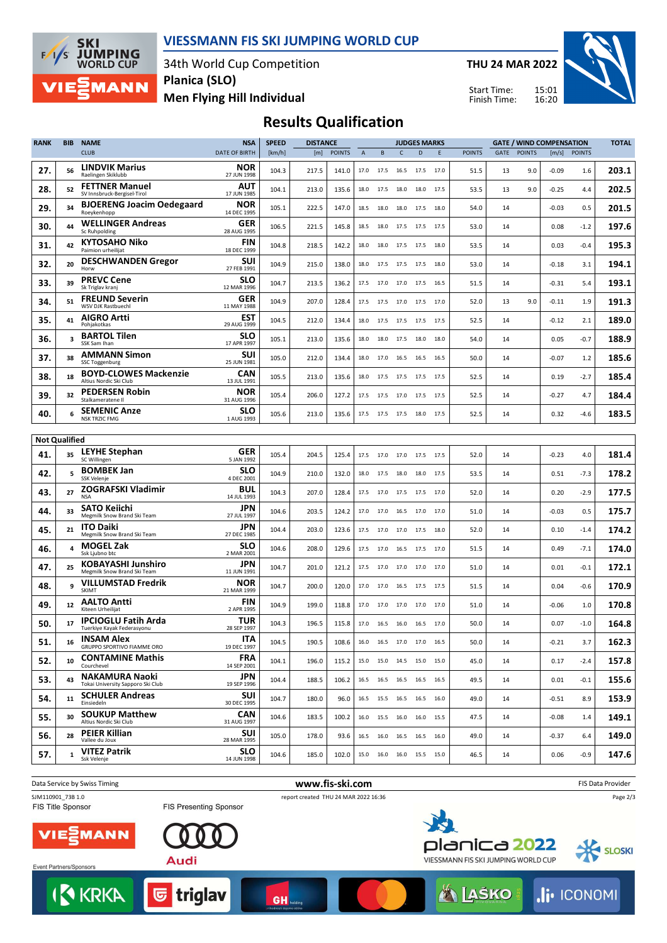

#### **VIESSMANN FIS SKI JUMPING WORLD CUP**

34th World Cup Competition **Men Flying Hill Individual Planica (SLO)**

**THU 24 MAR 2022**

Start Time: Finish Time:



## **Results Qualification**

| <b>RANK</b>          | <b>BIB</b>   | <b>NAME</b>                                                       | <b>NSA</b>                              | <b>SPEED</b>   | <b>DISTANCE</b> |                |                | <b>JUDGES MARKS</b>          |                |                     |        | <b>GATE / WIND COMPENSATION</b> |          |               |                 | <b>TOTAL</b>  |                |
|----------------------|--------------|-------------------------------------------------------------------|-----------------------------------------|----------------|-----------------|----------------|----------------|------------------------------|----------------|---------------------|--------|---------------------------------|----------|---------------|-----------------|---------------|----------------|
|                      |              | <b>CLUB</b>                                                       | <b>DATE OF BIRTH</b>                    | [km/h]         | [m]             | <b>POINTS</b>  | $\overline{A}$ | B                            | C              | D                   | E      | <b>POINTS</b>                   | GATE     | <b>POINTS</b> |                 | [m/s] POINTS  |                |
| 27.                  | 56           | <b>LINDVIK Marius</b><br>Raelingen Skiklubb                       | <b>NOR</b><br>27 JUN 1998               | 104.3          | 217.5           | 141.0          | 17.0           | 17.5 16.5 17.5 17.0          |                |                     |        | 51.5                            | 13       | 9.0           | $-0.09$         | 1.6           | 203.1          |
| 28.                  | 52           | <b>FETTNER Manuel</b><br>SV Innsbruck-Bergisel-Tirol              | AUT<br>17 JUN 1985                      | 104.1          | 213.0           | 135.6          | 18.0           | 17.5                         | 18.0           | 18.0                | 17.5   | 53.5                            | 13       | 9.0           | $-0.25$         | 4.4           | 202.5          |
| 29.                  | 34           | <b>BJOERENG Joacim Oedegaard</b><br>Roeykenhopp                   | <b>NOR</b><br>14 DEC 1995               | 105.1          | 222.5           | 147.0          | 18.5           | 18.0                         | 18.0           | 17.5                | 18.0   | 54.0                            | 14       |               | $-0.03$         | 0.5           | 201.5          |
| 30.                  | 44           | <b>WELLINGER Andreas</b><br>Sc Ruhpolding                         | <b>GER</b><br>28 AUG 1995               | 106.5          | 221.5           | 145.8          | 18.5           | 18.0                         | 17.5           | 17.5                | 17.5   | 53.0                            | 14       |               | 0.08            | $-1.2$        | 197.6          |
| 31.                  | 42           | <b>KYTOSAHO Niko</b><br>Paimion urheilijat                        | FIN<br>18 DEC 1999                      | 104.8          | 218.5           | 142.2          | 18.0           |                              | 18.0 17.5 17.5 |                     | 18.0   | 53.5                            | 14       |               | 0.03            | $-0.4$        | 195.3          |
| 32.                  | 20           | <b>DESCHWANDEN Gregor</b><br>Horw                                 | SUI<br>27 FEB 1991                      | 104.9          | 215.0           | 138.0          | 18.0           |                              |                | 17.5 17.5 17.5 18.0 |        | 53.0                            | 14       |               | $-0.18$         | 3.1           | 194.1          |
| 33.                  | 39           | <b>PREVC Cene</b><br>Sk Triglav kranj                             | SLO<br>12 MAR 1996                      | 104.7          | 213.5           | 136.2          | 17.5           | 17.0                         | 17.0           | 17.5                | 16.5   | 51.5                            | 14       |               | $-0.31$         | 5.4           | 193.1          |
| 34.                  | 51           | <b>FREUND Severin</b><br>WSV DJK Rastbuechl                       | GER<br>11 MAY 1988                      | 104.9          | 207.0           | 128.4          | 17.5           | 17.5                         | 17.0           | 17.5                | 17.0   | 52.0                            | 13       | 9.0           | $-0.11$         | 1.9           | 191.3          |
| 35.                  | 41           | <b>AIGRO Artti</b><br>Pohjakotkas                                 | EST<br>29 AUG 1999                      | 104.5          | 212.0           | 134.4          | 18.0           | 17.5                         |                | 17.5 17.5 17.5      |        | 52.5                            | 14       |               | $-0.12$         | 2.1           | 189.0          |
| 36.                  | 3            | <b>BARTOL Tilen</b><br>SSK Sam Ihan                               | <b>SLO</b><br>17 APR 1997               | 105.1          | 213.0           | 135.6          | 18.0           |                              | 18.0 17.5 18.0 |                     | 18.0   | 54.0                            | 14       |               | 0.05            | $-0.7$        | 188.9          |
| 37.                  | 38           | <b>AMMANN Simon</b><br>SSC Toggenburg                             | SUI<br>25 JUN 1981                      | 105.0          | 212.0           | 134.4          | 18.0           | 17.0                         | 16.5           | 16.5                | - 16.5 | 50.0                            | 14       |               | $-0.07$         | 1.2           | 185.6          |
| 38.                  | 18           | <b>BOYD-CLOWES Mackenzie</b><br>Altius Nordic Ski Club            | CAN<br>13 JUL 1991                      | 105.5          | 213.0           | 135.6          | 18.0           | 17.5                         | 17.5           | 17.5                | 17.5   | 52.5                            | 14       |               | 0.19            | $-2.7$        | 185.4          |
| 39.                  | 32           | <b>PEDERSEN Robin</b><br>Stalkameratene II                        | <b>NOR</b><br>31 AUG 1996               | 105.4          | 206.0           | 127.2          | 17.5           | 17.5                         | 17.0           | 17.5                | 17.5   | 52.5                            | 14       |               | $-0.27$         | 4.7           | 184.4          |
| 40.                  |              | <b>SEMENIC Anze</b><br><b>NSK TRZIC FMG</b>                       | SLO<br>1 AUG 1993                       | 105.6          | 213.0           | 135.6          |                | 17.5 17.5 17.5 18.0 17.5     |                |                     |        | 52.5                            | 14       |               | 0.32            | $-4.6$        | 183.5          |
| <b>Not Qualified</b> |              |                                                                   |                                         |                |                 |                |                |                              |                |                     |        |                                 |          |               |                 |               |                |
|                      |              | <b>LEYHE Stephan</b>                                              | <b>GER</b>                              |                |                 |                |                |                              |                |                     |        |                                 |          |               |                 |               |                |
| 41.<br>42.           | 35<br>5      | SC Willingen<br><b>BOMBEK Jan</b>                                 | 5 JAN 1992<br><b>SLO</b>                | 105.4<br>104.9 | 204.5<br>210.0  | 125.4<br>132.0 | 17.5<br>18.0   | 17.0<br>17.5                 | 17.0<br>18.0   | 17.5 17.5<br>18.0   | 17.5   | 52.0<br>53.5                    | 14<br>14 |               | $-0.23$<br>0.51 | 4.0<br>$-7.3$ | 181.4<br>178.2 |
| 43.                  | 27           | SSK Velenje<br><b>ZOGRAFSKI Vladimir</b>                          | 4 DEC 2001<br>BUL                       | 104.3          | 207.0           | 128.4          | 17.5           | 17.0 17.5 17.5 17.0          |                |                     |        | 52.0                            | 14       |               | 0.20            | $-2.9$        | 177.5          |
| 44.                  | 33           | <b>NSA</b><br><b>SATO Keiichi</b>                                 | 14 JUL 1993<br>JPN                      | 104.6          | 203.5           | 124.2          | 17.0           | 17.0                         | 16.5           | 17.0                | 17.0   | 51.0                            | 14       |               | $-0.03$         | 0.5           | 175.7          |
| 45.                  | 21           | Megmilk Snow Brand Ski Team<br><b>ITO Daiki</b>                   | 27 JUL 1997<br>JPN                      | 104.4          | 203.0           | 123.6          | 17.5           | 17.0                         | 17.0           | 17.5                | 18.0   | 52.0                            | 14       |               | 0.10            | $-1.4$        | 174.2          |
| 46.                  |              | Megmilk Snow Brand Ski Team<br><b>MOGEL Zak</b><br>Ssk Ljubno btc | 27 DEC 1985<br><b>SLO</b><br>2 MAR 2001 | 104.6          | 208.0           | 129.6          | 17.5           | 17.0                         |                | 16.5 17.5 17.0      |        | 51.5                            | 14       |               | 0.49            | $-7.1$        | 174.0          |
| 47.                  | 25           | <b>KOBAYASHI Junshiro</b><br>Megmilk Snow Brand Ski Team          | JPN<br>11 JUN 1991                      | 104.7          | 201.0           | 121.2          | 17.5           | 17.0 17.0 17.0 17.0          |                |                     |        | 51.0                            | 14       |               | 0.01            | $-0.1$        | 172.1          |
| 48.                  | 9            | <b>VILLUMSTAD Fredrik</b><br>SKIMT                                | NOR<br>21 MAR 1999                      | 104.7          | 200.0           | 120.0          | 17.0           | 17.0                         | 16.5           | 17.5                | 17.5   | 51.5                            | 14       |               | 0.04            | $-0.6$        | 170.9          |
| 49.                  | 12           | <b>AALTO Antti</b><br>Kiteen Urheilijat                           | <b>FIN</b><br>2 APR 1995                | 104.9          | 199.0           | 118.8          | 17.0           | 17.0                         | 17.0           | 17.0                | 17.0   | 51.0                            | 14       |               | $-0.06$         | 1.0           | 170.8          |
| 50.                  | 17           | <b>IPCIOGLU Fatih Arda</b><br>Tuerkiye Kayak Federasyonu          | TUR<br>28 SEP 1997                      | 104.3          | 196.5           | 115.8          | 17.0           | 16.5                         | 16.0           | 16.5 17.0           |        | 50.0                            | 14       |               | 0.07            | $-1.0$        | 164.8          |
| 51.                  | 16           | <b>INSAM Alex</b><br>GRUPPO SPORTIVO FIAMME ORO                   | <b>ITA</b><br>19 DEC 1997               | 104.5          | 190.5           | 108.6          |                | 16.0 16.5 17.0 17.0 16.5     |                |                     |        | 50.0                            | 14       |               | $-0.21$         | 3.7           | 162.3          |
| 52.                  | 10           | <b>CONTAMINE Mathis</b><br>Courchevel                             | <b>FRA</b><br>14 SEP 2001               | 104.1          | 196.0           | 115.2          |                | 15.0  15.0  14.5  15.0  15.0 |                |                     |        | 45.0                            | 14       |               | 0.17            | $-2.4$        | 157.8          |
| 53.                  | 43           | <b>NAKAMURA Naoki</b><br>Tokai University Sapporo Ski Club        | <b>JPN</b><br>19 SEP 1996               | 104.4          | 188.5           | 106.2          |                | 16.5 16.5 16.5 16.5 16.5     |                |                     |        | 49.5                            | 14       |               | 0.01            | $-0.1$        | 155.6          |
| 54.                  | 11           | <b>SCHULER Andreas</b><br>Einsiedeln                              | SUI<br>30 DEC 1995                      | 104.7          | 180.0           | 96.0           |                | 16.5 15.5 16.5 16.5 16.0     |                |                     |        | 49.0                            | 14       |               | $-0.51$         | 8.9           | 153.9          |
| 55.                  | 30           | <b>SOUKUP Matthew</b><br>Altius Nordic Ski Club                   | CAN<br>31 AUG 1997                      | 104.6          | 183.5           | 100.2          |                | 16.0  15.5  16.0  16.0  15.5 |                |                     |        | 47.5                            | 14       |               | $-0.08$         | 1.4           | 149.1          |
| 56.                  | 28           | <b>PEIER Killian</b><br>Vallee du Joux                            | <b>SUI</b><br>28 MAR 1995               | 105.0          | 178.0           | 93.6           |                | 16.5 16.0 16.5 16.5 16.0     |                |                     |        | 49.0                            | 14       |               | $-0.37$         | 6.4           | 149.0          |
| 57.                  | $\mathbf{1}$ | <b>VITEZ Patrik</b><br>Ssk Velenje                                | <b>SLO</b><br>14 JUN 1998               | 104.6          | 185.0           | 102.0          |                | 15.0  16.0  16.0  15.5  15.0 |                |                     |        | 46.5                            | 14       |               | 0.06            | $-0.9$        | 147.6          |
|                      |              |                                                                   |                                         |                |                 |                |                |                              |                |                     |        |                                 |          |               |                 |               |                |